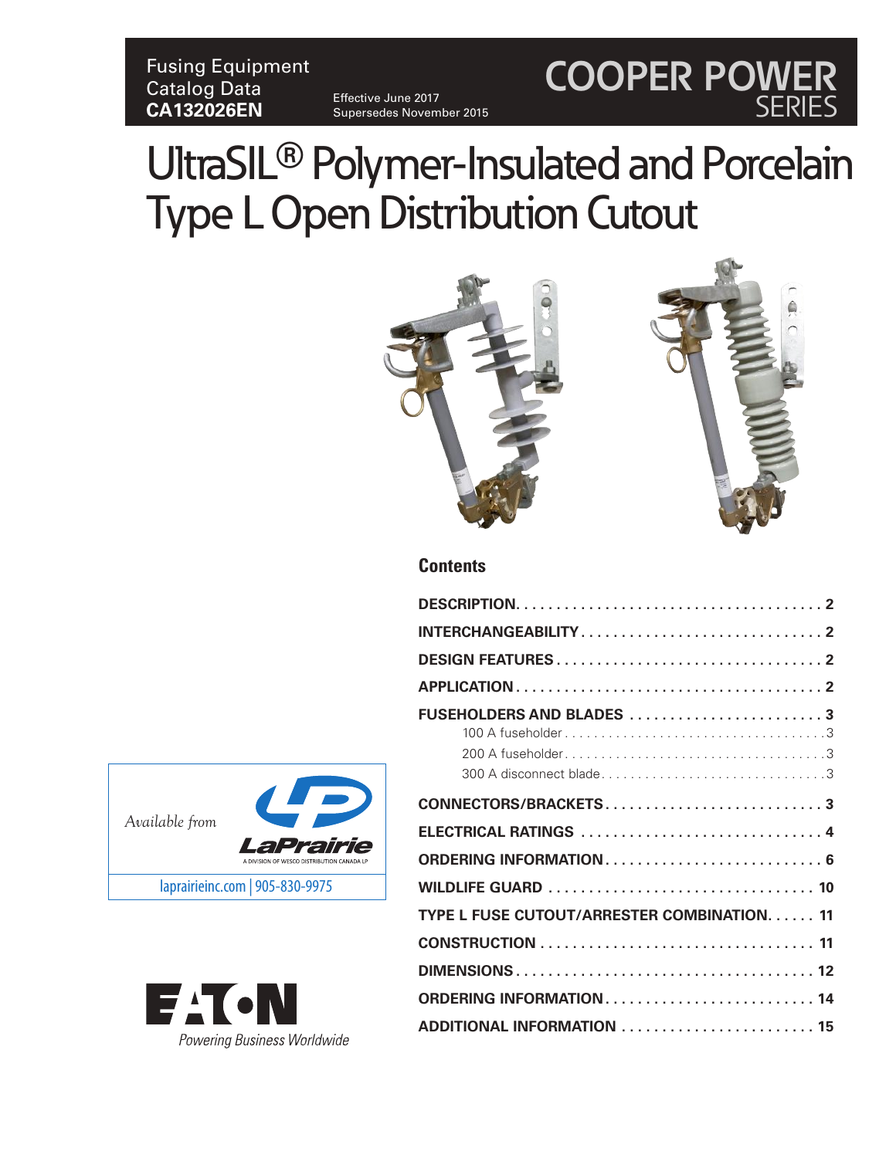# Fusing Equipment Catalog Data **CA132026EN**

Effective June 2017 Supersedes November 2015

# UltraSIL**®** Polymer-Insulated and Porcelain Type L Open Distribution Cutout



**COOPER POWER**

SERIES

## **Contents**

| FUSEHOLDERS AND BLADES 3                   |
|--------------------------------------------|
|                                            |
| CONNECTORS/BRACKETS3                       |
| ELECTRICAL RATINGS  4                      |
|                                            |
|                                            |
| TYPE L FUSE CUTOUT/ARRESTER COMBINATION 11 |
|                                            |
|                                            |
| ORDERING INFORMATION 14                    |
| ADDITIONAL INFORMATION  15                 |



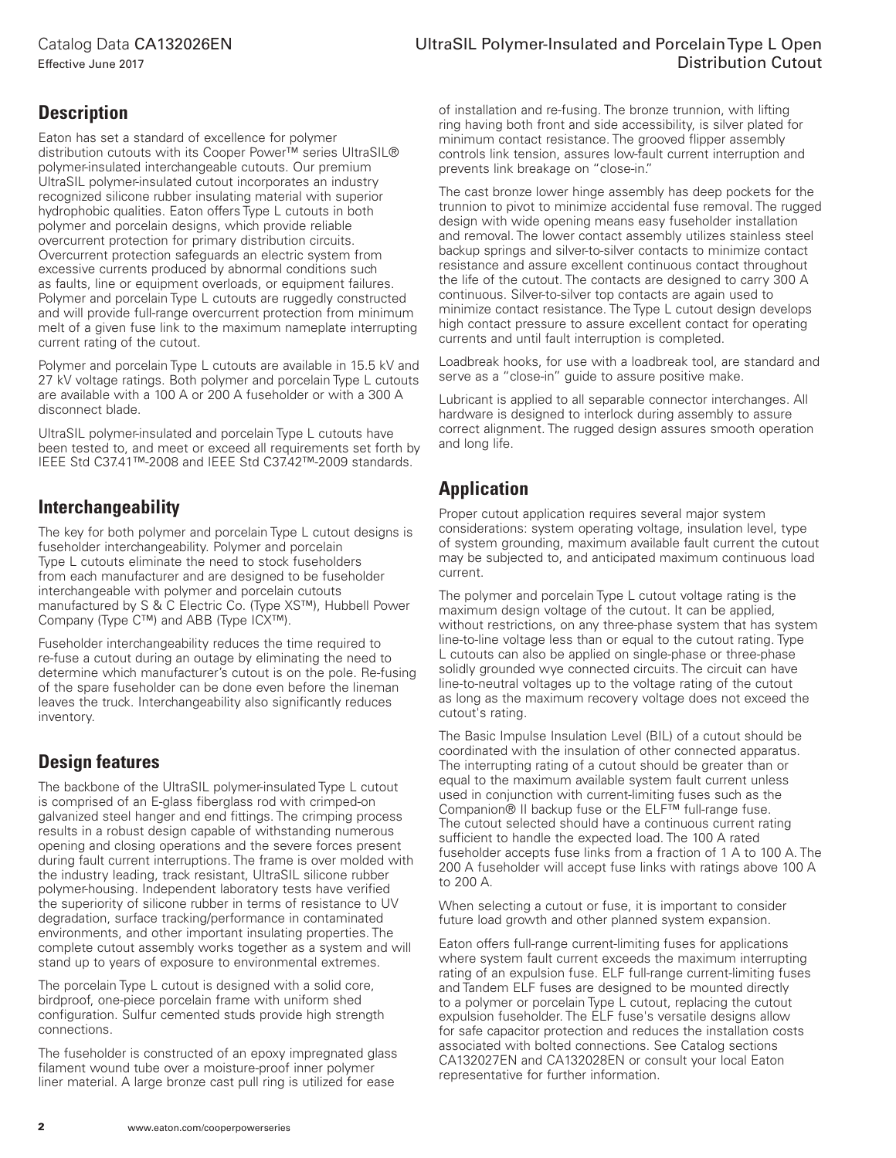## Catalog Data CA132026EN

Effective June 2017

# **Description**

Eaton has set a standard of excellence for polymer distribution cutouts with its Cooper Power™ series UltraSIL® polymer-insulated interchangeable cutouts. Our premium UltraSIL polymer-insulated cutout incorporates an industry recognized silicone rubber insulating material with superior hydrophobic qualities. Eaton offers Type L cutouts in both polymer and porcelain designs, which provide reliable overcurrent protection for primary distribution circuits. Overcurrent protection safeguards an electric system from excessive currents produced by abnormal conditions such as faults, line or equipment overloads, or equipment failures. Polymer and porcelain Type L cutouts are ruggedly constructed and will provide full-range overcurrent protection from minimum melt of a given fuse link to the maximum nameplate interrupting current rating of the cutout.

Polymer and porcelain Type L cutouts are available in 15.5 kV and 27 kV voltage ratings. Both polymer and porcelain Type L cutouts are available with a 100 A or 200 A fuseholder or with a 300 A disconnect blade.

UltraSIL polymer-insulated and porcelain Type L cutouts have been tested to, and meet or exceed all requirements set forth by IEEE Std C37.41™-2008 and IEEE Std C37.42™-2009 standards.

# **Interchangeability**

The key for both polymer and porcelain Type L cutout designs is fuseholder interchangeability. Polymer and porcelain Type L cutouts eliminate the need to stock fuseholders from each manufacturer and are designed to be fuseholder interchangeable with polymer and porcelain cutouts manufactured by S & C Electric Co. (Type XS™), Hubbell Power Company (Type C™) and ABB (Type ICX™).

Fuseholder interchangeability reduces the time required to re-fuse a cutout during an outage by eliminating the need to determine which manufacturer's cutout is on the pole. Re-fusing of the spare fuseholder can be done even before the lineman leaves the truck. Interchangeability also significantly reduces inventory.

## **Design features**

The backbone of the UltraSIL polymer-insulated Type L cutout is comprised of an E-glass fiberglass rod with crimped-on galvanized steel hanger and end fittings. The crimping process results in a robust design capable of withstanding numerous opening and closing operations and the severe forces present during fault current interruptions. The frame is over molded with the industry leading, track resistant, UltraSIL silicone rubber polymer-housing. Independent laboratory tests have verified the superiority of silicone rubber in terms of resistance to UV degradation, surface tracking/performance in contaminated environments, and other important insulating properties. The complete cutout assembly works together as a system and will stand up to years of exposure to environmental extremes.

The porcelain Type L cutout is designed with a solid core, birdproof, one-piece porcelain frame with uniform shed configuration. Sulfur cemented studs provide high strength connections.

The fuseholder is constructed of an epoxy impregnated glass filament wound tube over a moisture-proof inner polymer liner material. A large bronze cast pull ring is utilized for ease

## UltraSIL Polymer-Insulated and Porcelain Type L Open Distribution Cutout

of installation and re-fusing. The bronze trunnion, with lifting ring having both front and side accessibility, is silver plated for minimum contact resistance. The grooved flipper assembly controls link tension, assures low-fault current interruption and prevents link breakage on "close-in."

The cast bronze lower hinge assembly has deep pockets for the trunnion to pivot to minimize accidental fuse removal. The rugged design with wide opening means easy fuseholder installation and removal. The lower contact assembly utilizes stainless steel backup springs and silver-to-silver contacts to minimize contact resistance and assure excellent continuous contact throughout the life of the cutout. The contacts are designed to carry 300 A continuous. Silver-to-silver top contacts are again used to minimize contact resistance. The Type L cutout design develops high contact pressure to assure excellent contact for operating currents and until fault interruption is completed.

Loadbreak hooks, for use with a loadbreak tool, are standard and serve as a "close-in" guide to assure positive make.

Lubricant is applied to all separable connector interchanges. All hardware is designed to interlock during assembly to assure correct alignment. The rugged design assures smooth operation and long life.

# **Application**

Proper cutout application requires several major system considerations: system operating voltage, insulation level, type of system grounding, maximum available fault current the cutout may be subjected to, and anticipated maximum continuous load current.

The polymer and porcelain Type L cutout voltage rating is the maximum design voltage of the cutout. It can be applied, without restrictions, on any three-phase system that has system line-to-line voltage less than or equal to the cutout rating. Type L cutouts can also be applied on single-phase or three-phase solidly grounded wye connected circuits. The circuit can have line-to-neutral voltages up to the voltage rating of the cutout as long as the maximum recovery voltage does not exceed the cutout's rating.

The Basic Impulse Insulation Level (BIL) of a cutout should be coordinated with the insulation of other connected apparatus. The interrupting rating of a cutout should be greater than or equal to the maximum available system fault current unless used in conjunction with current-limiting fuses such as the Companion® II backup fuse or the ELF™ full-range fuse. The cutout selected should have a continuous current rating sufficient to handle the expected load. The 100 A rated fuseholder accepts fuse links from a fraction of 1 A to 100 A. The 200 A fuseholder will accept fuse links with ratings above 100 A to 200 A.

When selecting a cutout or fuse, it is important to consider future load growth and other planned system expansion.

Eaton offers full-range current-limiting fuses for applications where system fault current exceeds the maximum interrupting rating of an expulsion fuse. ELF full-range current-limiting fuses and Tandem ELF fuses are designed to be mounted directly to a polymer or porcelain Type L cutout, replacing the cutout expulsion fuseholder. The ELF fuse's versatile designs allow for safe capacitor protection and reduces the installation costs associated with bolted connections. See Catalog sections CA132027EN and CA132028EN or consult your local Eaton representative for further information.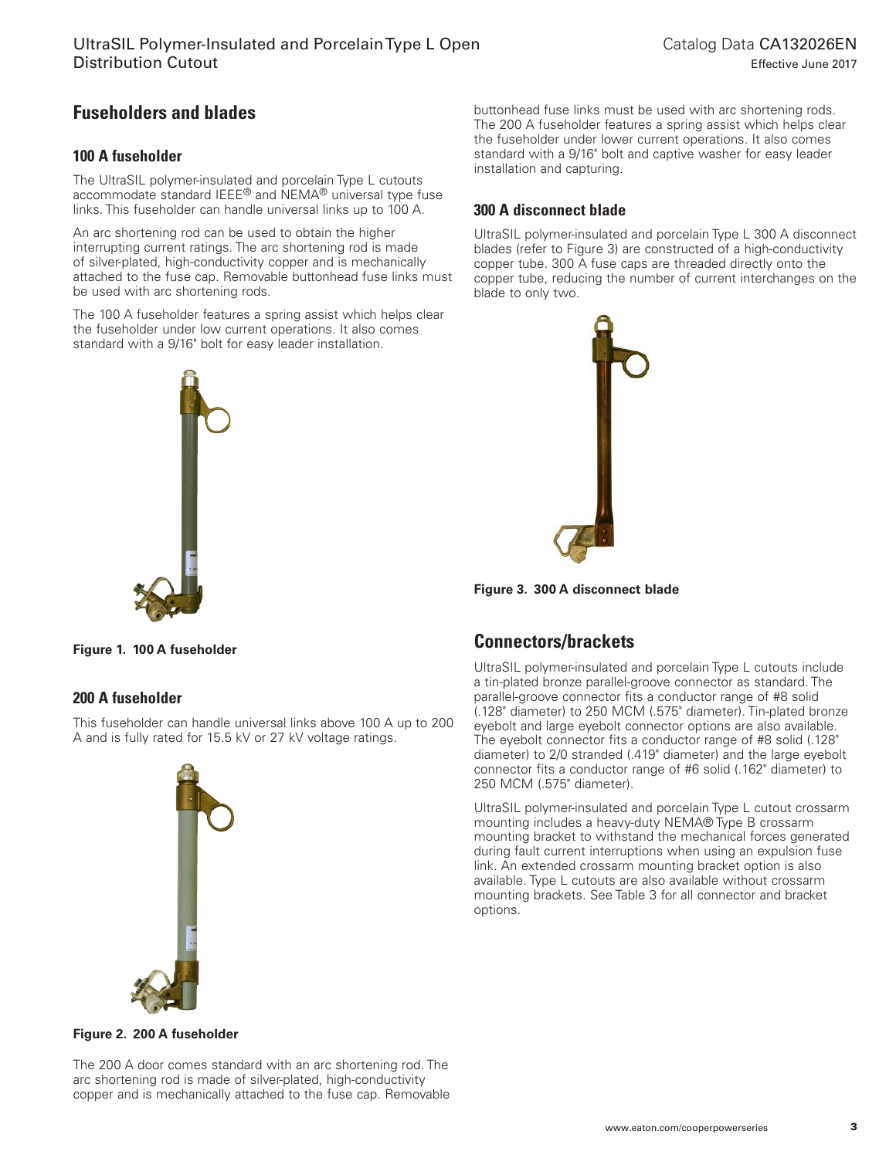# **Fuseholders and blades**

## **100 A fuseholder**

The UltraSIL polymer-insulated and porcelain Type L cutouts accommodate standard IEEE® and NEMA® universal type fuse links. This fuseholder can handle universal links up to 100 A.

An arc shortening rod can be used to obtain the higher interrupting current ratings. The arc shortening rod is made of silver-plated, high-conductivity copper and is mechanically attached to the fuse cap. Removable buttonhead fuse links must be used with arc shortening rods.

The 100 A fuseholder features a spring assist which helps clear the fuseholder under low current operations. It also comes standard with a 9/16" bolt for easy leader installation.



buttonhead fuse links must be used with arc shortening rods. The 200 A fuseholder features a spring assist which helps clear the fuseholder under lower current operations. It also comes standard with a 9/16" bolt and captive washer for easy leader installation and capturing.

## **300 A disconnect blade**

UltraSIL polymer-insulated and porcelain Type L 300 A disconnect blades (refer to Figure 3) are constructed of a high-conductivity copper tube. 300 A fuse caps are threaded directly onto the copper tube, reducing the number of current interchanges on the blade to only two.



**Figure 3. 300 A disconnect blade**

## **Connectors/brackets**

UltraSIL polymer-insulated and porcelain Type L cutouts include a tin-plated bronze parallel-groove connector as standard. The parallel-groove connector fits a conductor range of #8 solid (.128" diameter) to 250 MCM (.575" diameter). Tin-plated bronze eyebolt and large eyebolt connector options are also available. The eyebolt connector fits a conductor range of #8 solid (.128" diameter) to 2/0 stranded (.419" diameter) and the large eyebolt connector fits a conductor range of #6 solid (.162" diameter) to 250 MCM (.575" diameter).

UltraSIL polymer-insulated and porcelain Type L cutout crossarm mounting includes a heavy-duty NEMA® Type B crossarm mounting bracket to withstand the mechanical forces generated during fault current interruptions when using an expulsion fuse link. An extended crossarm mounting bracket option is also available. Type L cutouts are also available without crossarm mounting brackets. See Table 3 for all connector and bracket options.

**Figure 1. 100 A fuseholder**

## **200 A fuseholder**

This fuseholder can handle universal links above 100 A up to 200 A and is fully rated for 15.5 kV or 27 kV voltage ratings.



#### **Figure 2. 200 A fuseholder**

The 200 A door comes standard with an arc shortening rod. The arc shortening rod is made of silver-plated, high-conductivity copper and is mechanically attached to the fuse cap. Removable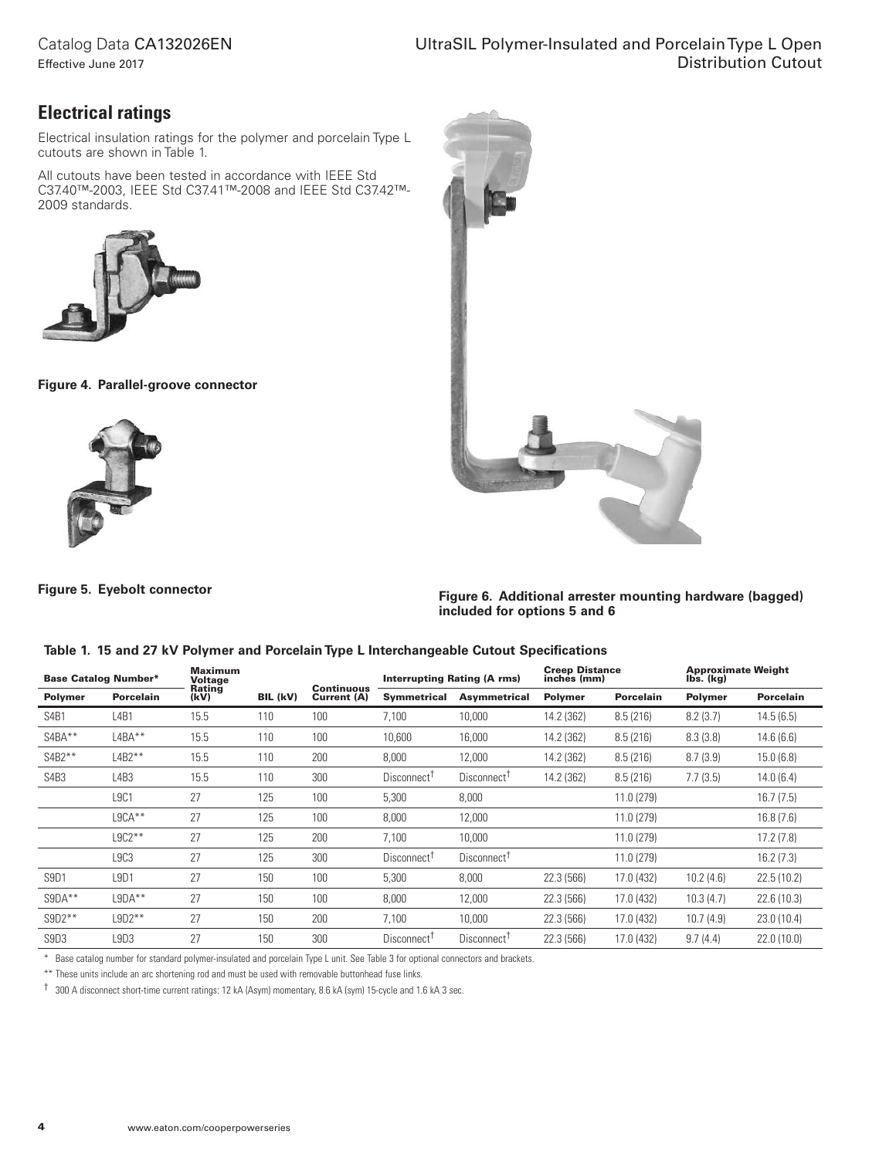## Catalog Data CA132026EN

Effective June 2017

# **Electrical ratings**

Electrical insulation ratings for the polymer and porcelain Type L cutouts are shown in Table 1.

All cutouts have been tested in accordance with IEEE Std C37.40™-2003, IEEE Std C37.41™-2008 and IEEE Std C37.42™-2009 standards.



**Figure 4. Parallel-groove connector**



**Figure 5. Eyebolt connector**

**Figure 6. Additional arrester mounting hardware (bagged) included for options 5 and 6**

#### **Table 1. 15 and 27 kV Polymer and Porcelain Type L Interchangeable Cutout Specifications**

|                               | <b>Base Catalog Number*</b>   | <b>Maximum</b><br>Voltage |          |                                  | <b>Interrupting Rating (A rms)</b> |                         | <b>Creep Distance</b><br>inches (mm) |                  | <b>Approximate Weight</b><br>lbs. (kg) |                  |
|-------------------------------|-------------------------------|---------------------------|----------|----------------------------------|------------------------------------|-------------------------|--------------------------------------|------------------|----------------------------------------|------------------|
| <b>Polymer</b>                | <b>Porcelain</b>              | Rating<br>(kV)            | BIL (kV) | <b>Continuous</b><br>Current (A) | <b>Symmetrical</b>                 | Asymmetrical            | <b>Polymer</b>                       | <b>Porcelain</b> | <b>Polymer</b>                         | <b>Porcelain</b> |
| S <sub>4</sub> B <sub>1</sub> | L <sub>4</sub> B <sub>1</sub> | 15.5                      | 110      | 100                              | 7.100                              | 10,000                  | 14.2 (362)                           | 8.5(216)         | 8.2(3.7)                               | 14.5(6.5)        |
| S4BA**                        | $L4BA**$                      | 15.5                      | 110      | 100                              | 10,600                             | 16,000                  | 14.2 (362)                           | 8.5(216)         | 8.3(3.8)                               | 14.6(6.6)        |
| $S4B2***$                     | $L4B2**$                      | 15.5                      | 110      | 200                              | 8,000                              | 12,000                  | 14.2 (362)                           | 8.5(216)         | 8.7(3.9)                               | 15.0(6.8)        |
| S <sub>4</sub> B <sub>3</sub> | L4B3                          | 15.5                      | 110      | 300                              | Disconnect <sup>T</sup>            | Disconnect <sup>T</sup> | 14.2 (362)                           | 8.5(216)         | 7.7(3.5)                               | 14.0(6.4)        |
|                               | <b>L9C1</b>                   | 27                        | 125      | 100                              | 5,300                              | 8,000                   |                                      | 11.0 (279)       |                                        | 16.7(7.5)        |
|                               | $L9CA**$                      | 27                        | 125      | 100                              | 8.000                              | 12,000                  |                                      | 11.0 (279)       |                                        | 16.8(7.6)        |
|                               | $L9C2***$                     | 27                        | 125      | 200                              | 7,100                              | 10,000                  |                                      | 11.0 (279)       |                                        | 17.2(7.8)        |
|                               | L9C3                          | 27                        | 125      | 300                              | Disconnect <sup>T</sup>            | Disconnect <sup>T</sup> |                                      | 11.0 (279)       |                                        | 16.2(7.3)        |
| S <sub>9</sub> D <sub>1</sub> | L <sub>9</sub> D <sub>1</sub> | 27                        | 150      | 100                              | 5,300                              | 8,000                   | 22.3 (566)                           | 17.0 (432)       | 10.2(4.6)                              | 22.5(10.2)       |
| $S9DA***$                     | $L9DA**$                      | 27                        | 150      | 100                              | 8,000                              | 12,000                  | 22.3 (566)                           | 17.0 (432)       | 10.3(4.7)                              | 22.6(10.3)       |
| $S9D2***$                     | $L9D2***$                     | 27                        | 150      | 200                              | 7.100                              | 10,000                  | 22.3 (566)                           | 17.0 (432)       | 10.7(4.9)                              | 23.0 (10.4)      |
| S9D3                          | L9D3                          | 27                        | 150      | 300                              | Disconnect <sup>T</sup>            | Disconnect <sup>1</sup> | 22.3 (566)                           | 17.0 (432)       | 9.7(4.4)                               | 22.0(10.0)       |

\* Base catalog number for standard polymer-insulated and porcelain Type L unit. See Table 3 for optional connectors and brackets.

\*\* These units include an arc shortening rod and must be used with removable buttonhead fuse links.

† 300 A disconnect short-time current ratings: 12 kA (Asym) momentary, 8.6 kA (sym) 15-cycle and 1.6 kA 3 sec.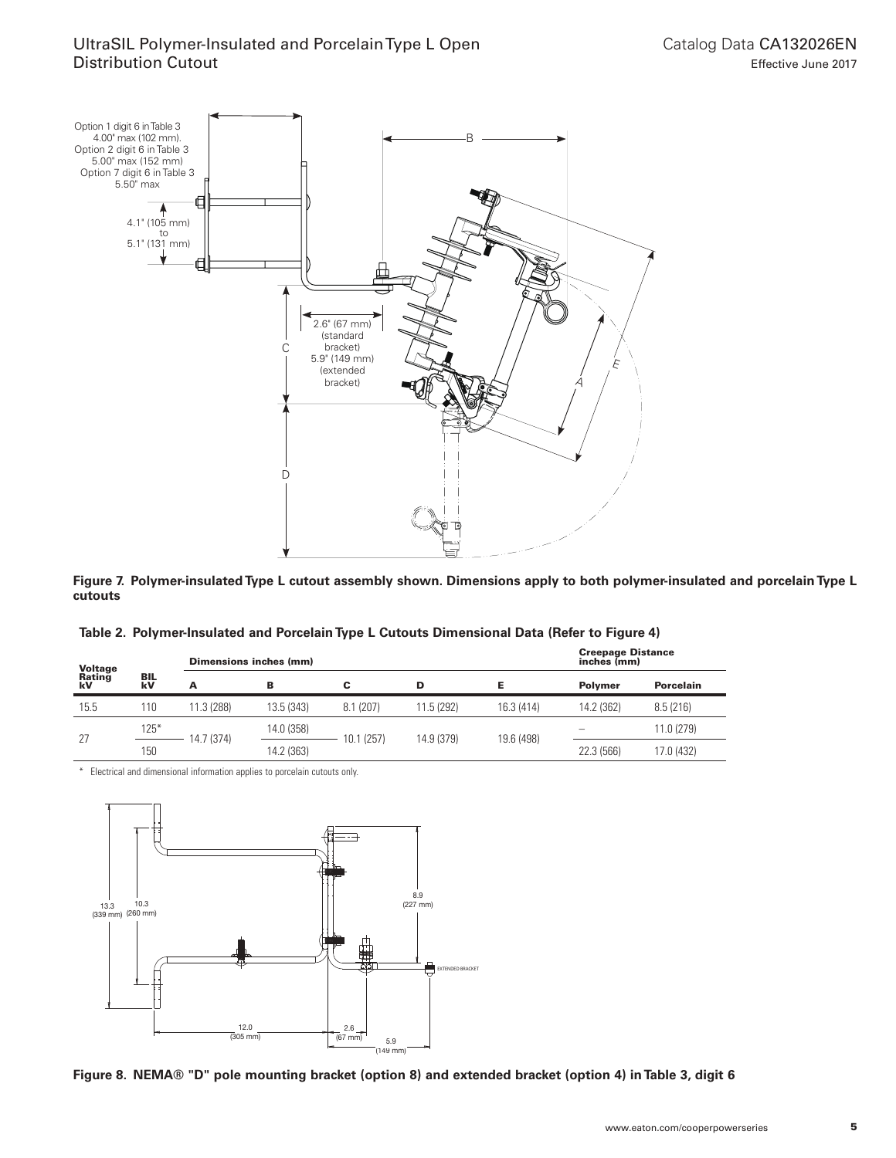

**Figure 7. Polymer-insulated Type L cutout assembly shown. Dimensions apply to both polymer-insulated and porcelain Type L cutouts**

| Table 2. Polymer-Insulated and Porcelain Type L Cutouts Dimensional Data (Refer to Figure 4) |
|----------------------------------------------------------------------------------------------|
|----------------------------------------------------------------------------------------------|

| <b>Voltage</b><br>Rating |                  | Dimensions inches (mm) |            | <b>Creepage Distance</b><br>inches (mm) |            |            |                |                  |
|--------------------------|------------------|------------------------|------------|-----------------------------------------|------------|------------|----------------|------------------|
| kV                       | <b>BIL</b><br>kV | А                      | в          | С                                       | D          |            | <b>Polymer</b> | <b>Porcelain</b> |
| 15.5                     | 110              | 11.3 (288)             | 13.5 (343) | 8.1(207)                                | 11.5 (292) | 16.3 (414) | 14.2 (362)     | 8.5(216)         |
| 27                       | $125*$           | 14.7 (374)             | 14.0 (358) | 10.1 (257)                              | 14.9 (379) | 19.6 (498) |                | 11.0 (279)       |
|                          | 150              |                        | 14.2 (363) |                                         |            |            | 22.3 (566)     | 17.0 (432)       |

\* Electrical and dimensional information applies to porcelain cutouts only.



**Figure 8. NEMA® "D" pole mounting bracket (option 8) and extended bracket (option 4) in Table 3, digit 6**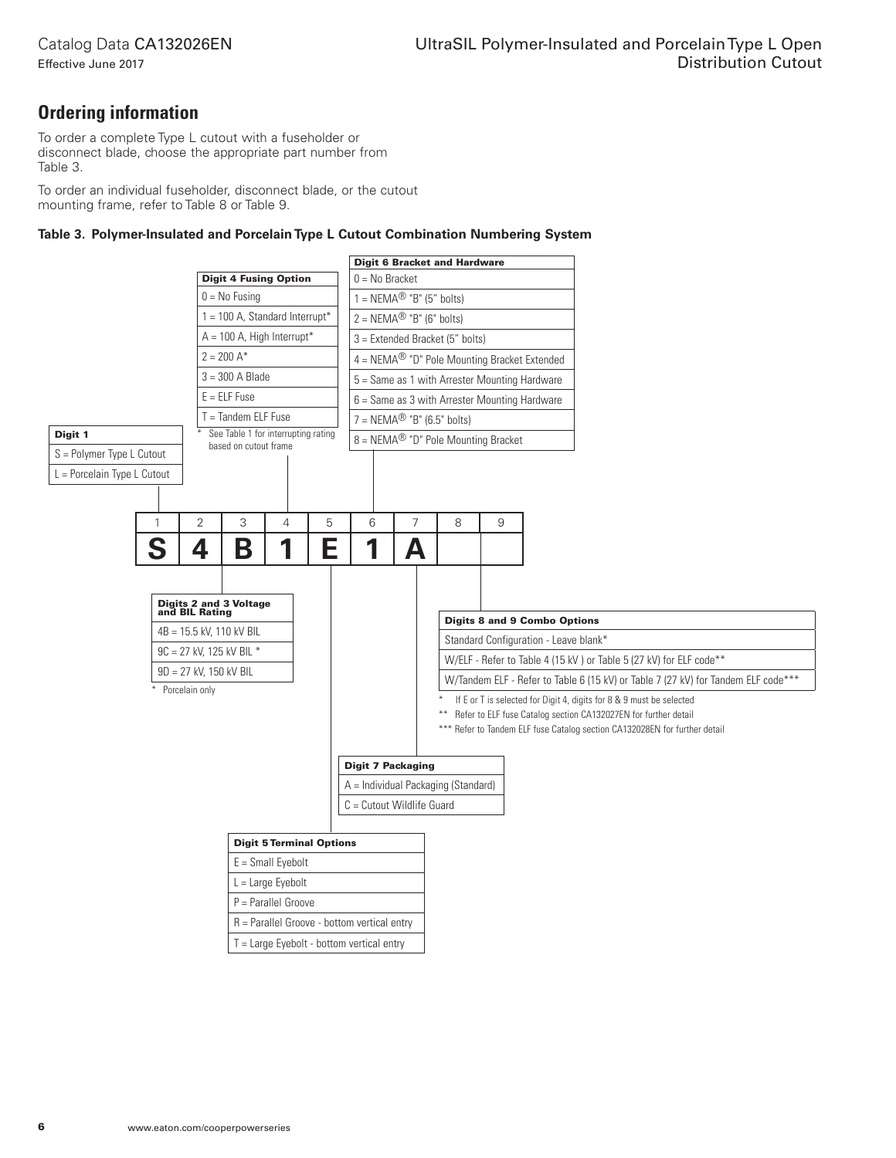**Ordering information**

To order a complete Type L cutout with a fuseholder or disconnect blade, choose the appropriate part number from Table 3.

To order an individual fuseholder, disconnect blade, or the cutout mounting frame, refer to Table 8 or Table 9.

#### **Table 3. Polymer-Insulated and Porcelain Type L Cutout Combination Numbering System**

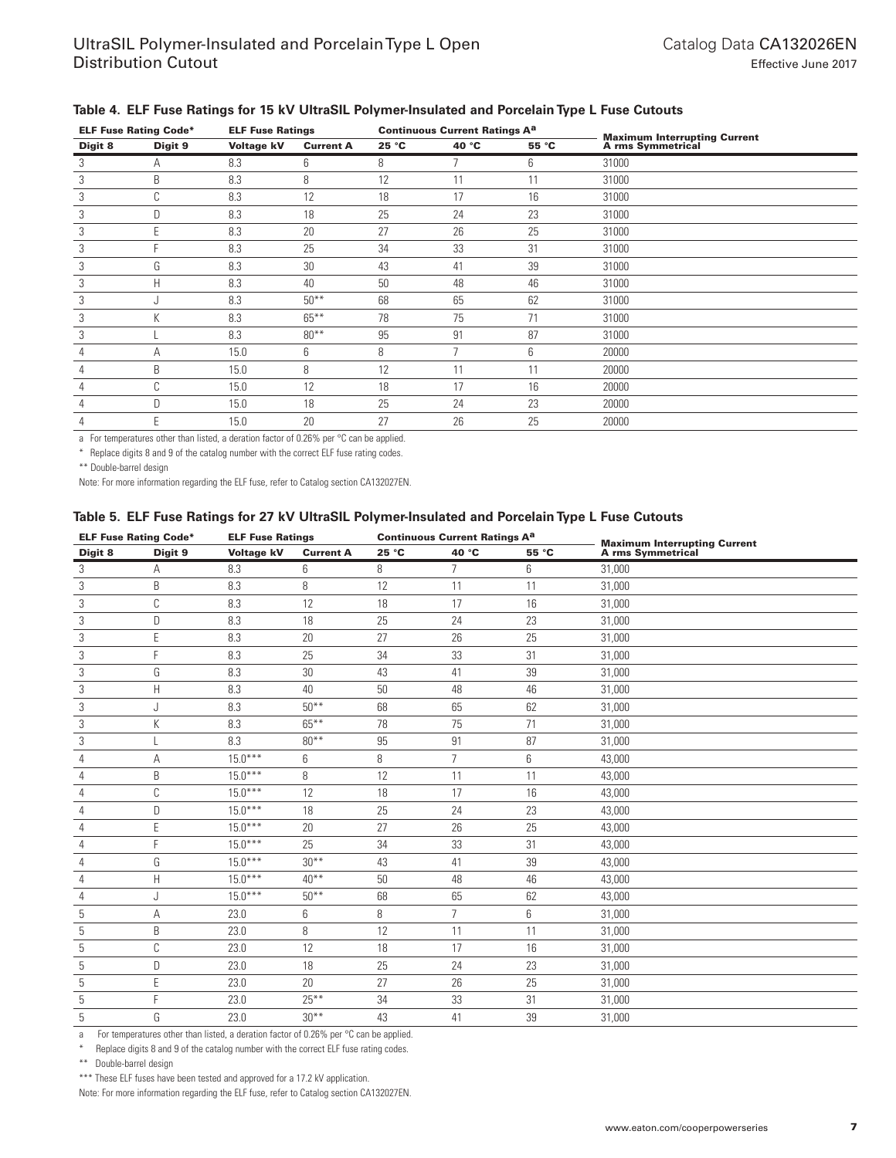| <b>ELF Fuse Rating Code*</b> |              | <b>ELF Fuse Ratings</b> |                  | <b>Continuous Current Ratings A<sup>a</sup></b> |                          |       |                                                       |
|------------------------------|--------------|-------------------------|------------------|-------------------------------------------------|--------------------------|-------|-------------------------------------------------------|
| Digit 8                      | Digit 9      | <b>Voltage kV</b>       | <b>Current A</b> | 25 °C                                           | 40 °C                    | 55 °C | <b>Maximum Interrupting Current A rms Symmetrical</b> |
| 3                            | Α            | 8.3                     | 6                | 8                                               | $\overline{\phantom{a}}$ | 6     | 31000                                                 |
| 3                            | B            | 8.3                     | 8                | 12                                              | 11                       | 11    | 31000                                                 |
| 3                            | $\sim$<br>U  | 8.3                     | 12               | 18                                              | 17                       | 16    | 31000                                                 |
| 3                            | D            | 8.3                     | 18               | 25                                              | 24                       | 23    | 31000                                                 |
| 3                            |              | 8.3                     | 20               | 27                                              | 26                       | 25    | 31000                                                 |
| 3                            |              | 8.3                     | 25               | 34                                              | 33                       | 31    | 31000                                                 |
| 3                            | G            | 8.3                     | 30               | 43                                              | 41                       | 39    | 31000                                                 |
| 3                            | Н            | 8.3                     | 40               | 50                                              | 48                       | 46    | 31000                                                 |
| 3                            |              | 8.3                     | $50***$          | 68                                              | 65                       | 62    | 31000                                                 |
| 3                            | К            | 8.3                     | $65***$          | 78                                              | 75                       | 71    | 31000                                                 |
| 3                            |              | 8.3                     | $80**$           | 95                                              | 91                       | 87    | 31000                                                 |
| 4                            | Α            | 15.0                    | 6                | 8                                               | ∍                        | 6     | 20000                                                 |
| 4                            | B            | 15.0                    | 8                | 12                                              | 11                       | 11    | 20000                                                 |
| 4                            | $\sim$<br>ι, | 15.0                    | 12               | 18                                              | 17                       | 16    | 20000                                                 |
| 4                            | D            | 15.0                    | 18               | 25                                              | 24                       | 23    | 20000                                                 |
|                              | F            | 15.0                    | 20               | 27                                              | 26                       | 25    | 20000                                                 |

### **Table 4. ELF Fuse Ratings for 15 kV UltraSIL Polymer-Insulated and Porcelain Type L Fuse Cutouts**

a For temperatures other than listed, a deration factor of 0.26% per °C can be applied.

\* Replace digits 8 and 9 of the catalog number with the correct ELF fuse rating codes.

\*\* Double-barrel design

Note: For more information regarding the ELF fuse, refer to Catalog section CA132027EN.

#### **Table 5. ELF Fuse Ratings for 27 kV UltraSIL Polymer-Insulated and Porcelain Type L Fuse Cutouts**

|         | <b>ELF Fuse Rating Code*</b><br><b>ELF Fuse Ratings</b><br><b>Continuous Current Ratings A<sup>a</sup></b> |                   |                  |       |                |       |                                                       |
|---------|------------------------------------------------------------------------------------------------------------|-------------------|------------------|-------|----------------|-------|-------------------------------------------------------|
| Digit 8 | Digit 9                                                                                                    | <b>Voltage kV</b> | <b>Current A</b> | 25 °C | 40 °C          | 55 °C | <b>Maximum Interrupting Current A rms Symmetrical</b> |
| 3       | Α                                                                                                          | 8.3               | 6                | 8     | $\overline{7}$ | 6     | 31,000                                                |
| 3       | B                                                                                                          | 8.3               | 8                | 12    | 11             | 11    | 31,000                                                |
| 3       | C                                                                                                          | 8.3               | 12               | 18    | 17             | 16    | 31,000                                                |
| 3       | D                                                                                                          | 8.3               | 18               | 25    | 24             | 23    | 31,000                                                |
| 3       | E                                                                                                          | 8.3               | 20               | 27    | 26             | 25    | 31,000                                                |
| 3       | F.                                                                                                         | 8.3               | 25               | 34    | 33             | 31    | 31,000                                                |
| 3       | G                                                                                                          | 8.3               | 30               | 43    | 41             | 39    | 31,000                                                |
| 3       | H                                                                                                          | 8.3               | 40               | 50    | 48             | 46    | 31,000                                                |
| 3       | J                                                                                                          | 8.3               | $50***$          | 68    | 65             | 62    | 31,000                                                |
| 3       | К                                                                                                          | 8.3               | $65***$          | 78    | 75             | 71    | 31,000                                                |
| 3       |                                                                                                            | 8.3               | $80**$           | 95    | 91             | 87    | 31,000                                                |
| 4       | А                                                                                                          | $15.0***$         | 6                | 8     | $\overline{7}$ | 6     | 43,000                                                |
| 4       | B                                                                                                          | $15.0***$         | 8                | 12    | 11             | 11    | 43,000                                                |
| 4       | C                                                                                                          | $15.0***$         | 12               | 18    | 17             | 16    | 43,000                                                |
| 4       | D.                                                                                                         | $15.0***$         | 18               | 25    | 24             | 23    | 43,000                                                |
| 4       | E                                                                                                          | $15.0***$         | 20               | 27    | 26             | 25    | 43,000                                                |
| 4       | F                                                                                                          | $15.0***$         | 25               | 34    | 33             | 31    | 43,000                                                |
| 4       | G                                                                                                          | $15.0***$         | $30***$          | 43    | 41             | 39    | 43,000                                                |
| 4       | H                                                                                                          | $15.0***$         | $40***$          | 50    | 48             | 46    | 43,000                                                |
| 4       | J                                                                                                          | $15.0***$         | $50***$          | 68    | 65             | 62    | 43,000                                                |
| 5       | А                                                                                                          | 23.0              | 6                | 8     | $\overline{7}$ | 6     | 31,000                                                |
| 5       | B                                                                                                          | 23.0              | 8                | 12    | 11             | 11    | 31,000                                                |
| 5       | C                                                                                                          | 23.0              | 12               | 18    | 17             | 16    | 31,000                                                |
| 5       | D                                                                                                          | 23.0              | 18               | 25    | 24             | 23    | 31,000                                                |
| 5       | Ε                                                                                                          | 23.0              | 20               | 27    | 26             | 25    | 31,000                                                |
| 5       | E.                                                                                                         | 23.0              | $25***$          | 34    | 33             | 31    | 31,000                                                |
| 5       | G                                                                                                          | 23.0              | $30***$          | 43    | 41             | 39    | 31,000                                                |

a For temperatures other than listed, a deration factor of 0.26% per °C can be applied.

Replace digits 8 and 9 of the catalog number with the correct ELF fuse rating codes.

\*\* Double-barrel design

\*\*\* These ELF fuses have been tested and approved for a 17.2 kV application.

Note: For more information regarding the ELF fuse, refer to Catalog section CA132027EN.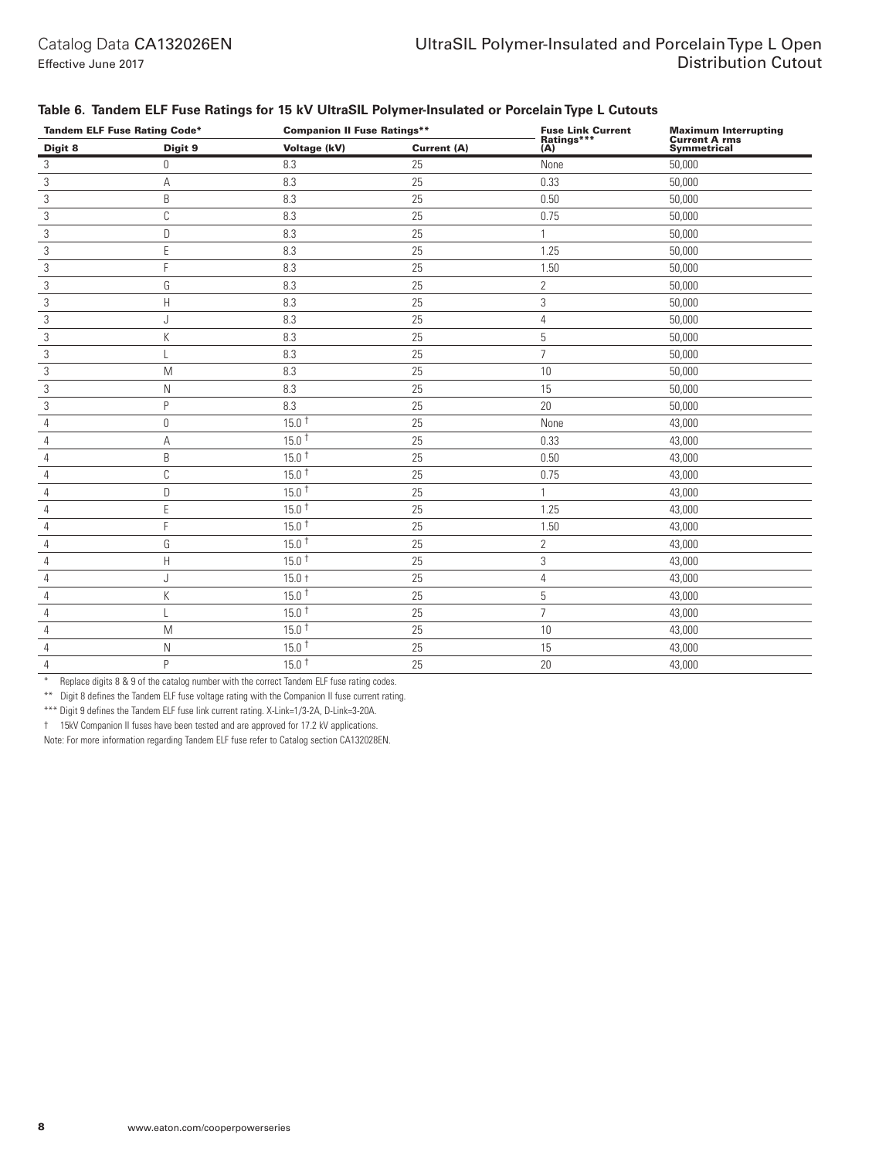| <b>Tandem ELF Fuse Rating Code*</b> |             | <b>Companion II Fuse Ratings**</b> |             | <b>Fuse Link Current</b><br>Ratings*** |                                                      |
|-------------------------------------|-------------|------------------------------------|-------------|----------------------------------------|------------------------------------------------------|
| Digit 8                             | Digit 9     | Voltage (kV)                       | Current (A) | (A)                                    | Maximum Interrupting<br>Current A rms<br>Symmetrical |
| 3                                   | $\mathbf 0$ | 8.3                                | 25          | None                                   | 50,000                                               |
| 3                                   | Α           | 8.3                                | 25          | 0.33                                   | 50,000                                               |
| $\sqrt{3}$                          | B           | 8.3                                | 25          | 0.50                                   | 50,000                                               |
| 3                                   | $\mathbb C$ | 8.3                                | 25          | 0.75                                   | 50,000                                               |
| 3                                   | D           | 8.3                                | 25          | $\mathbf{1}$                           | 50,000                                               |
| $\sqrt{3}$                          | E           | 8.3                                | 25          | 1.25                                   | 50,000                                               |
| 3                                   | F           | 8.3                                | 25          | 1.50                                   | 50,000                                               |
| 3                                   | G           | 8.3                                | 25          | $\mathbf{2}$                           | 50,000                                               |
| 3                                   | Н           | 8.3                                | 25          | 3                                      | 50,000                                               |
| 3                                   | J           | 8.3                                | 25          | $\overline{4}$                         | 50,000                                               |
| 3                                   | K           | 8.3                                | 25          | 5                                      | 50,000                                               |
| 3                                   |             | 8.3                                | 25          | $\overline{7}$                         | 50,000                                               |
| 3                                   | M           | 8.3                                | 25          | 10                                     | 50,000                                               |
| 3                                   | N           | 8.3                                | 25          | 15                                     | 50,000                                               |
| 3                                   | P           | 8.3                                | 25          | 20                                     | 50,000                                               |
| $\overline{4}$                      | $\mathbb O$ | 15.0 <sup>†</sup>                  | 25          | None                                   | 43,000                                               |
| $\overline{4}$                      | А           | $15.0^{\text{t}}$                  | 25          | 0.33                                   | 43,000                                               |
| 4                                   | B           | $15.0^{\text{t}}$                  | 25          | 0.50                                   | 43,000                                               |
| 4                                   | С           | 15.0 <sup>†</sup>                  | 25          | 0.75                                   | 43,000                                               |
| $\overline{4}$                      | D           | $15.0^{\text{t}}$                  | 25          | $\mathbf{1}$                           | 43,000                                               |
| $\overline{4}$                      | E           | $15.0^{\text{t}}$                  | 25          | 1.25                                   | 43,000                                               |
| $\overline{4}$                      | F           | $15.0^{\text{t}}$                  | 25          | 1.50                                   | 43,000                                               |
| $\overline{4}$                      | G           | 15.0 <sup>†</sup>                  | 25          | $\overline{2}$                         | 43,000                                               |
| 4                                   | Н           | 15.0 <sup>†</sup>                  | 25          | 3                                      | 43,000                                               |
| $\overline{4}$                      | J           | $15.0 +$                           | 25          | $\overline{4}$                         | 43,000                                               |
| 4                                   | K           | 15.0 <sup>†</sup>                  | 25          | 5                                      | 43,000                                               |
| $\overline{4}$                      |             | $15.0^{\text{t}}$                  | 25          | $\overline{7}$                         | 43,000                                               |
| $\overline{4}$                      | M           | 15.0 <sup>†</sup>                  | 25          | $10\,$                                 | 43,000                                               |
| $\overline{4}$                      | N           | $15.0^{\text{t}}$                  | 25          | 15                                     | 43,000                                               |
| $\sqrt{4}$                          | P           | 15.0 <sup>†</sup>                  | 25          | 20                                     | 43,000                                               |

#### **Table 6. Tandem ELF Fuse Ratings for 15 kV UltraSIL Polymer-Insulated or Porcelain Type L Cutouts**

\* Replace digits 8 & 9 of the catalog number with the correct Tandem ELF fuse rating codes.

\*\* Digit 8 defines the Tandem ELF fuse voltage rating with the Companion II fuse current rating.

\*\*\* Digit 9 defines the Tandem ELF fuse link current rating. X-Link=1/3-2A, D-Link=3-20A.

† 15kV Companion II fuses have been tested and are approved for 17.2 kV applications.

Note: For more information regarding Tandem ELF fuse refer to Catalog section CA132028EN.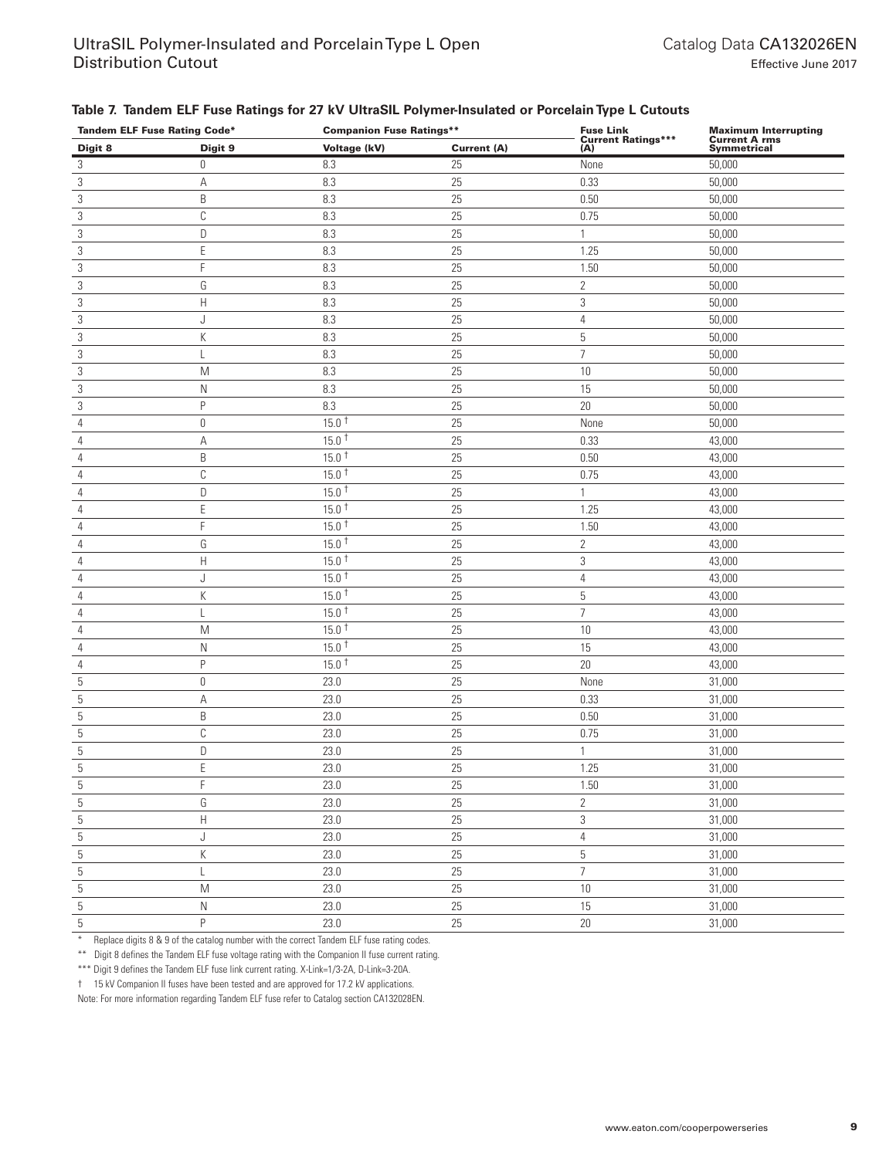#### **Table 7. Tandem ELF Fuse Ratings for 27 kV UltraSIL Polymer-Insulated or Porcelain Type L Cutouts**

| <b>Tandem ELF Fuse Rating Code*</b> |                                                                                       | <b>Companion Fuse Ratings**</b> |             | <b>Fuse Link</b><br>Current Ratings*** | Maximum Interrupting<br>Current A rms<br>Symmetrical |  |
|-------------------------------------|---------------------------------------------------------------------------------------|---------------------------------|-------------|----------------------------------------|------------------------------------------------------|--|
| Digit 8                             | Digit 9                                                                               | Voltage (kV)                    | Current (A) | (A)                                    |                                                      |  |
| 3                                   | 0                                                                                     | 8.3                             | 25          | None                                   | 50,000                                               |  |
| $\ensuremath{\mathsf{3}}$           | А                                                                                     | 8.3                             | 25          | 0.33                                   | 50,000                                               |  |
| $\sqrt{3}$                          | B                                                                                     | 8.3                             | 25          | 0.50                                   | 50,000                                               |  |
| 3                                   | С                                                                                     | 8.3                             | 25          | 0.75                                   | 50,000                                               |  |
| $\sqrt{3}$                          | D                                                                                     | 8.3                             | 25          | $\mathbf{1}$                           | 50,000                                               |  |
| 3                                   | E                                                                                     | 8.3                             | 25          | 1.25                                   | 50,000                                               |  |
| 3                                   | F                                                                                     | 8.3                             | 25          | 1.50                                   | 50,000                                               |  |
| $\sqrt{3}$                          | G                                                                                     | 8.3                             | 25          | $\mathbf{2}$                           | 50,000                                               |  |
| $\sqrt{3}$                          | $\mathsf{H}$                                                                          | 8.3                             | 25          | 3                                      | 50,000                                               |  |
| 3                                   | J                                                                                     | 8.3                             | 25          | $\overline{4}$                         | 50,000                                               |  |
| 3                                   | К                                                                                     | 8.3                             | 25          | 5                                      | 50,000                                               |  |
| $\sqrt{3}$                          | L                                                                                     | 8.3                             | 25          | $\overline{7}$                         | 50,000                                               |  |
| $\sqrt{3}$                          | M                                                                                     | 8.3                             | 25          | 10                                     | 50,000                                               |  |
| $\sqrt{3}$                          | N                                                                                     | 8.3                             | 25          | 15                                     | 50,000                                               |  |
| $\sqrt{3}$                          | P                                                                                     | 8.3                             | 25          | $20\,$                                 | 50,000                                               |  |
| $\overline{4}$                      | $\mathbb O$                                                                           | $15.0^{\text{t}}$               | 25          | None                                   | 50,000                                               |  |
| $\overline{4}$                      | А                                                                                     | $15.0^{\text{ }+}$              | 25          | 0.33                                   | 43,000                                               |  |
| 4                                   | B                                                                                     | $15.0^{\text{ }+}$              | 25          | 0.50                                   | 43,000                                               |  |
| $\overline{4}$                      | $\mathbb C$                                                                           | $15.0^{\text{ }+}$              | 25          | 0.75                                   | 43,000                                               |  |
| $\overline{4}$                      | $\mathsf D$                                                                           | $15.0^{\text{ }+}$              | 25          | 1                                      | 43,000                                               |  |
| $\overline{4}$                      | $\mathsf E$                                                                           | $15.0^{\text{ }+}$              | 25          | 1.25                                   | 43,000                                               |  |
| $\overline{4}$                      | F                                                                                     | $15.0^{\text{ }+}$              | 25          | 1.50                                   | 43,000                                               |  |
| $\overline{4}$                      | G                                                                                     | $15.0^{\text{ }+}$              | 25          | $\mathbf{2}$                           | 43,000                                               |  |
| $\overline{4}$                      | $\boldsymbol{\mathsf{H}}$                                                             | $15.0^{\text{ }+}$              | 25          | 3                                      | 43,000                                               |  |
| 4                                   | J                                                                                     | $15.0^{\text{ }+}$              | 25          | 4                                      | 43,000                                               |  |
| $\overline{4}$                      | К                                                                                     | $15.0^{\text{ }+}$              | 25          | 5                                      | 43,000                                               |  |
| $\overline{4}$                      | L                                                                                     | $15.0^{\text{ }+}$              | 25          | $\overline{7}$                         | 43,000                                               |  |
| $\overline{4}$                      | $\mathsf{M}% _{T}=\mathsf{M}_{T}\!\left( a,b\right) ,\ \mathsf{M}_{T}=\mathsf{M}_{T}$ | $15.0^{\text{+}}$               | 25          | $10$                                   | 43,000                                               |  |
| $\sqrt{4}$                          | N                                                                                     | $15.0^{\text{ }+}$              | 25          | 15                                     | 43,000                                               |  |
| $\overline{4}$                      | P                                                                                     | $15.0^{\text{ }+}$              | 25          | 20                                     | 43,000                                               |  |
| $\overline{5}$                      | $\mathbb O$                                                                           | 23.0                            | 25          | None                                   | 31,000                                               |  |
| 5                                   | А                                                                                     | 23.0                            | 25          | 0.33                                   | 31,000                                               |  |
| $\overline{5}$                      | B                                                                                     | 23.0                            | 25          | 0.50                                   | 31,000                                               |  |
| 5                                   | $\mathbb C$                                                                           | 23.0                            | 25          | 0.75                                   | 31,000                                               |  |
| $\sqrt{5}$                          | D                                                                                     | 23.0                            | 25          | $\mathbf{1}$                           | 31,000                                               |  |
| 5                                   | E                                                                                     | 23.0                            | 25          | 1.25                                   | 31,000                                               |  |
| 5                                   | F                                                                                     | 23.0                            | $25\,$      | 1.50                                   | 31,000                                               |  |
| $\overline{5}$                      | G                                                                                     | 23.0                            | 25          | $\sqrt{2}$                             | 31,000                                               |  |
| $\sqrt{5}$                          | $\boldsymbol{\mathsf{H}}$                                                             | 23.0                            | 25          | 3                                      | 31,000                                               |  |
| $\sqrt{5}$                          | J                                                                                     | 23.0                            | $25\,$      | $\overline{4}$                         | 31,000                                               |  |
| $\overline{5}$                      | K                                                                                     | 23.0                            | $25\,$      | $\mathbf 5$                            | 31,000                                               |  |
| $\overline{5}$                      | L                                                                                     | 23.0                            | 25          | $\overline{7}$                         | 31,000                                               |  |
| $\overline{5}$                      | $\mathsf{M}% _{T}=\mathsf{M}_{T}\!\left( a,b\right) ,\ \mathsf{M}_{T}=\mathsf{M}_{T}$ | 23.0                            | $25\,$      | 10                                     | 31,000                                               |  |
| $\overline{5}$                      | $\hbox{N}$                                                                            | 23.0                            | $25\,$      | 15                                     | 31,000                                               |  |
| $\overline{5}$                      | $\mathsf P$                                                                           | 23.0                            | 25          | 20                                     | 31,000                                               |  |

\* Replace digits 8 & 9 of the catalog number with the correct Tandem ELF fuse rating codes.

\*\* Digit 8 defines the Tandem ELF fuse voltage rating with the Companion II fuse current rating.

\*\*\* Digit 9 defines the Tandem ELF fuse link current rating. X-Link=1/3-2A, D-Link=3-20A.

† 15 kV Companion II fuses have been tested and are approved for 17.2 kV applications.

Note: For more information regarding Tandem ELF fuse refer to Catalog section CA132028EN.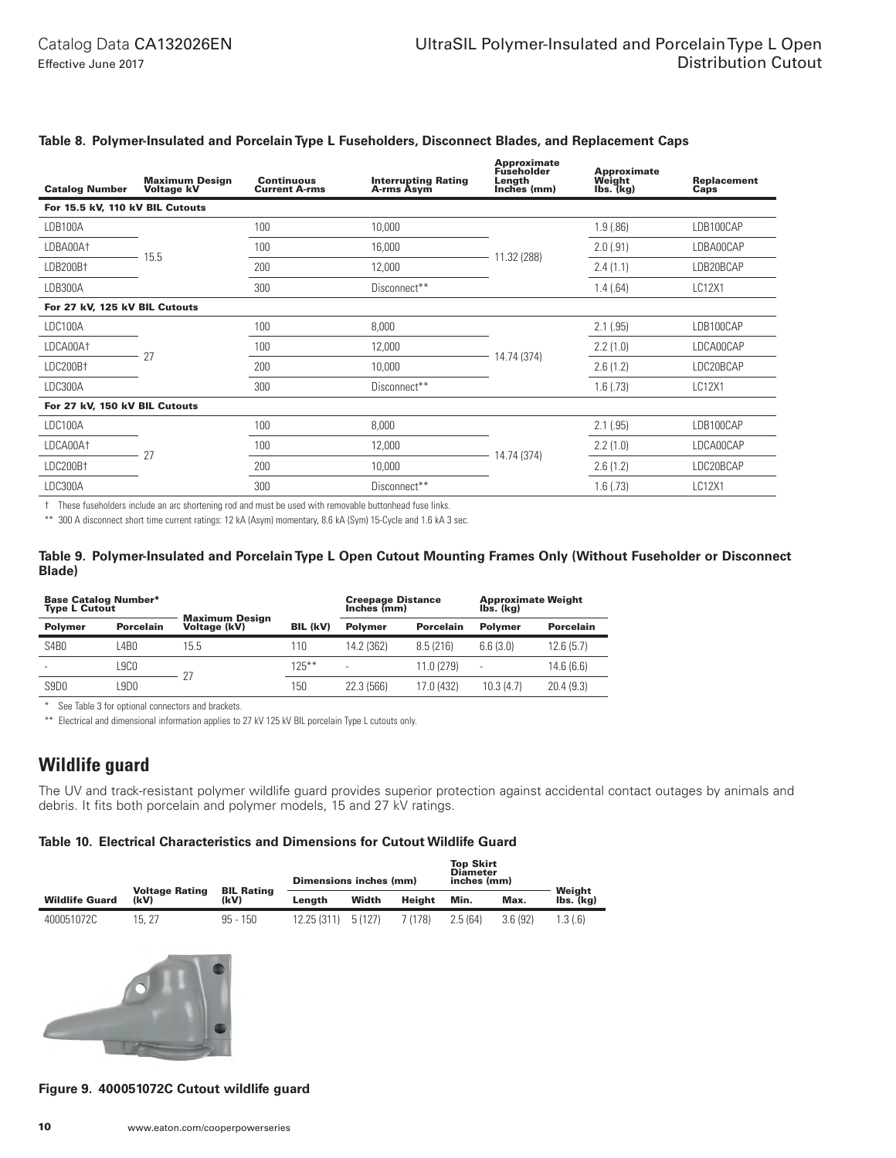Approximate

| <b>Catalog Number</b>           | <b>Maximum Design</b><br><b>Voltage kV</b> | <b>Continuous</b><br><b>Current A-rms</b> | <b>Interrupting Rating</b><br>A-rms Asym | Fuseholder<br>Length<br>Inches (mm) |             | <b>Replacement</b><br>Caps |
|---------------------------------|--------------------------------------------|-------------------------------------------|------------------------------------------|-------------------------------------|-------------|----------------------------|
| For 15.5 kV, 110 kV BIL Cutouts |                                            |                                           |                                          |                                     |             |                            |
| LDB100A                         |                                            | 100                                       | 10,000                                   |                                     | 1.9(.86)    | LDB100CAP                  |
| LDBA00A <sup>+</sup>            |                                            | 100                                       | 16,000                                   | 11.32 (288)                         | 2.0(0.91)   | LDBA00CAP                  |
| LDB200B†                        | 15.5                                       | 200                                       | 12,000                                   |                                     | 2.4(1.1)    | LDB20BCAP                  |
| LDB300A                         |                                            | 300                                       | Disconnect**                             |                                     | 1.4(.64)    | LC12X1                     |
| For 27 kV, 125 kV BIL Cutouts   |                                            |                                           |                                          |                                     |             |                            |
| LDC100A                         |                                            | 100                                       | 8,000                                    |                                     | 2.1(.95)    | LDB100CAP                  |
| LDCA00A <sup>+</sup>            | 27                                         | 100                                       | 12,000                                   | 14.74 (374)                         | 2.2(1.0)    | LDCA00CAP                  |
| LDC200Bt                        |                                            | 200                                       | 10,000                                   |                                     | 2.6(1.2)    | LDC20BCAP                  |
| LDC300A                         |                                            | 300                                       | Disconnect**                             |                                     | $1.6$ (.73) | LC12X1                     |
| For 27 kV, 150 kV BIL Cutouts   |                                            |                                           |                                          |                                     |             |                            |
| LDC100A                         |                                            | 100                                       | 8,000                                    |                                     | 2.1(.95)    | LDB100CAP                  |
| LDCA00At                        | 27                                         | 100                                       | 12,000                                   | 14.74 (374)                         | 2.2(1.0)    | LDCA00CAP                  |
| LDC200B <sup>+</sup>            |                                            | 200                                       | 10,000                                   |                                     | 2.6(1.2)    | LDC20BCAP                  |
| LDC300A                         |                                            |                                           | Disconnect**                             |                                     | $1.6$ (.73) | LC12X1                     |

#### **Table 8. Polymer-Insulated and Porcelain Type L Fuseholders, Disconnect Blades, and Replacement Caps**

† These fuseholders include an arc shortening rod and must be used with removable buttonhead fuse links.

\*\* 300 A disconnect short time current ratings: 12 kA (Asym) momentary, 8.6 kA (Sym) 15-Cycle and 1.6 kA 3 sec.

#### **Table 9. Polymer-Insulated and Porcelain Type L Open Cutout Mounting Frames Only (Without Fuseholder or Disconnect Blade)**

| <b>Base Catalog Number*</b><br><b>Type L Cutout</b> |                  |                                       |                 | <b>Creepage Distance</b><br>Inches (mm) |                  | <b>Approximate Weight</b><br>Ibs. (ka) |                  |  |
|-----------------------------------------------------|------------------|---------------------------------------|-----------------|-----------------------------------------|------------------|----------------------------------------|------------------|--|
| <b>Polymer</b>                                      | <b>Porcelain</b> | <b>Maximum Design</b><br>Voltage (kV) | <b>BIL (kV)</b> | <b>Polymer</b>                          | <b>Porcelain</b> | <b>Polymer</b>                         | <b>Porcelain</b> |  |
| S <sub>4</sub> B <sub>0</sub>                       | 4B <sub>0</sub>  | 15.5                                  | 110             | 14.2 (362)                              | 8.5(216)         | 6.6(3.0)                               | 12.6(5.7)        |  |
|                                                     | .9CO             |                                       | $125***$        |                                         | 11.0 (279)       | -                                      | 14.6(6.6)        |  |
| S9D <sub>0</sub>                                    | 9D <sub>0</sub>  |                                       | 150             | 22.3 (566)                              | 17.0 (432)       | 10.3(4.7)                              | 20.4(9.3)        |  |

\* See Table 3 for optional connectors and brackets.

\*\* Electrical and dimensional information applies to 27 kV 125 kV BIL porcelain Type L cutouts only.

## **Wildlife guard**

The UV and track-resistant polymer wildlife guard provides superior protection against accidental contact outages by animals and debris. It fits both porcelain and polymer models, 15 and 27 kV ratings.

#### **Table 10. Electrical Characteristics and Dimensions for Cutout Wildlife Guard**

|                       |                               |                           | Dimensions inches (mm) |        |         | <b>Top Skirt</b><br><b>Diameter</b><br>inches (mm) |         |                     |
|-----------------------|-------------------------------|---------------------------|------------------------|--------|---------|----------------------------------------------------|---------|---------------------|
| <b>Wildlife Guard</b> | <b>Voltage Rating</b><br>(kV) | <b>BIL Rating</b><br>(kV) | Lenath                 | Width  | Heiaht  | Min.                                               | Max.    | Weight<br>lbs. (ka) |
| 400051072C            | 15, 27                        | $95 - 150$                | 12.25 (311)            | 5(127) | 7 (178) | 2.5(64)                                            | 3.6(92) | 1.3(6)              |



#### **Figure 9. 400051072C Cutout wildlife guard**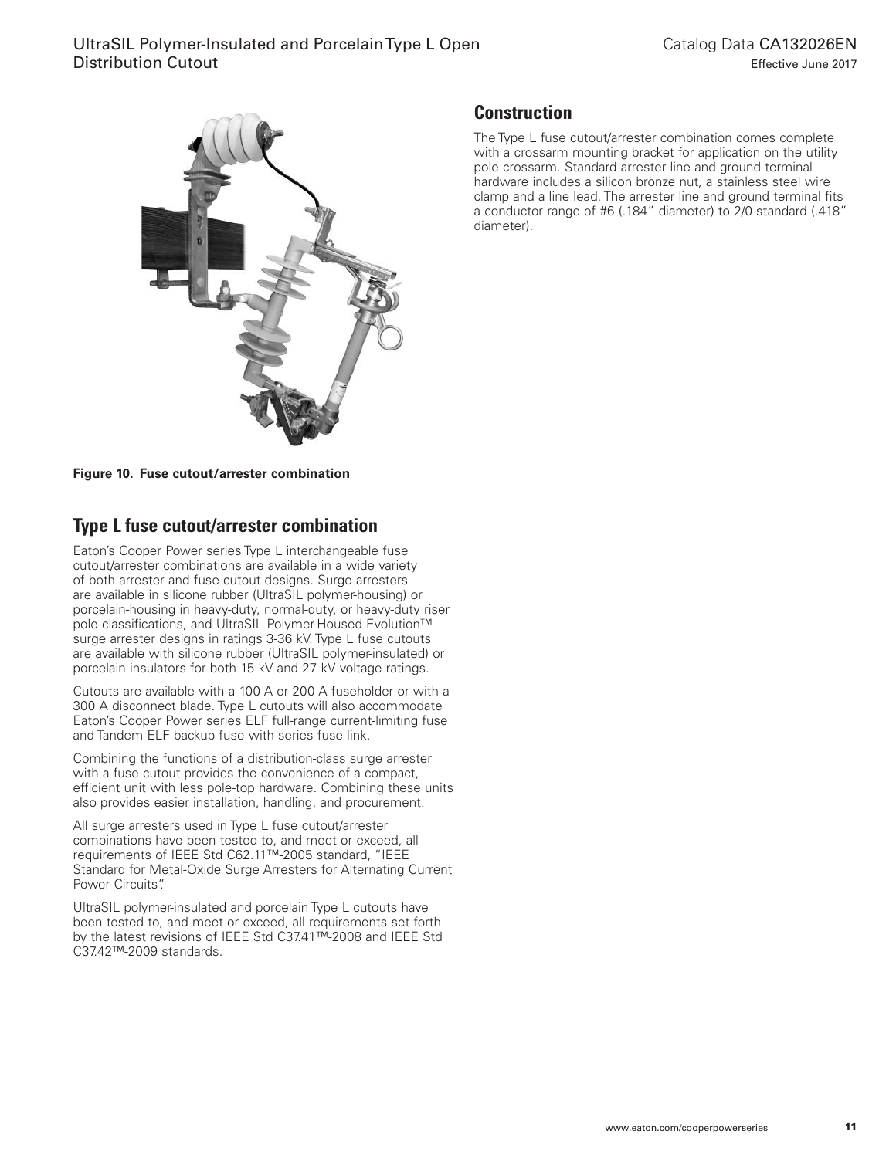

**Figure 10. Fuse cutout/arrester combination**

# **Type L fuse cutout/arrester combination**

Eaton's Cooper Power series Type L interchangeable fuse cutout/arrester combinations are available in a wide variety of both arrester and fuse cutout designs. Surge arresters are available in silicone rubber (UltraSIL polymer-housing) or porcelain-housing in heavy-duty, normal-duty, or heavy-duty riser pole classifications, and UltraSIL Polymer-Housed Evolution™ surge arrester designs in ratings 3-36 kV. Type L fuse cutouts are available with silicone rubber (UltraSIL polymer-insulated) or porcelain insulators for both 15 kV and 27 kV voltage ratings.

Cutouts are available with a 100 A or 200 A fuseholder or with a 300 A disconnect blade. Type L cutouts will also accommodate Eaton's Cooper Power series ELF full-range current-limiting fuse and Tandem ELF backup fuse with series fuse link.

Combining the functions of a distribution-class surge arrester with a fuse cutout provides the convenience of a compact, efficient unit with less pole-top hardware. Combining these units also provides easier installation, handling, and procurement.

All surge arresters used in Type L fuse cutout/arrester combinations have been tested to, and meet or exceed, all requirements of IEEE Std C62.11™-2005 standard, "IEEE Standard for Metal-Oxide Surge Arresters for Alternating Current Power Circuits".

UltraSIL polymer-insulated and porcelain Type L cutouts have been tested to, and meet or exceed, all requirements set forth by the latest revisions of IEEE Std C37.41™-2008 and IEEE Std C37.42™-2009 standards.

# **Construction**

The Type L fuse cutout/arrester combination comes complete with a crossarm mounting bracket for application on the utility pole crossarm. Standard arrester line and ground terminal hardware includes a silicon bronze nut, a stainless steel wire clamp and a line lead. The arrester line and ground terminal fits a conductor range of #6 (.184" diameter) to 2/0 standard (.418" diameter).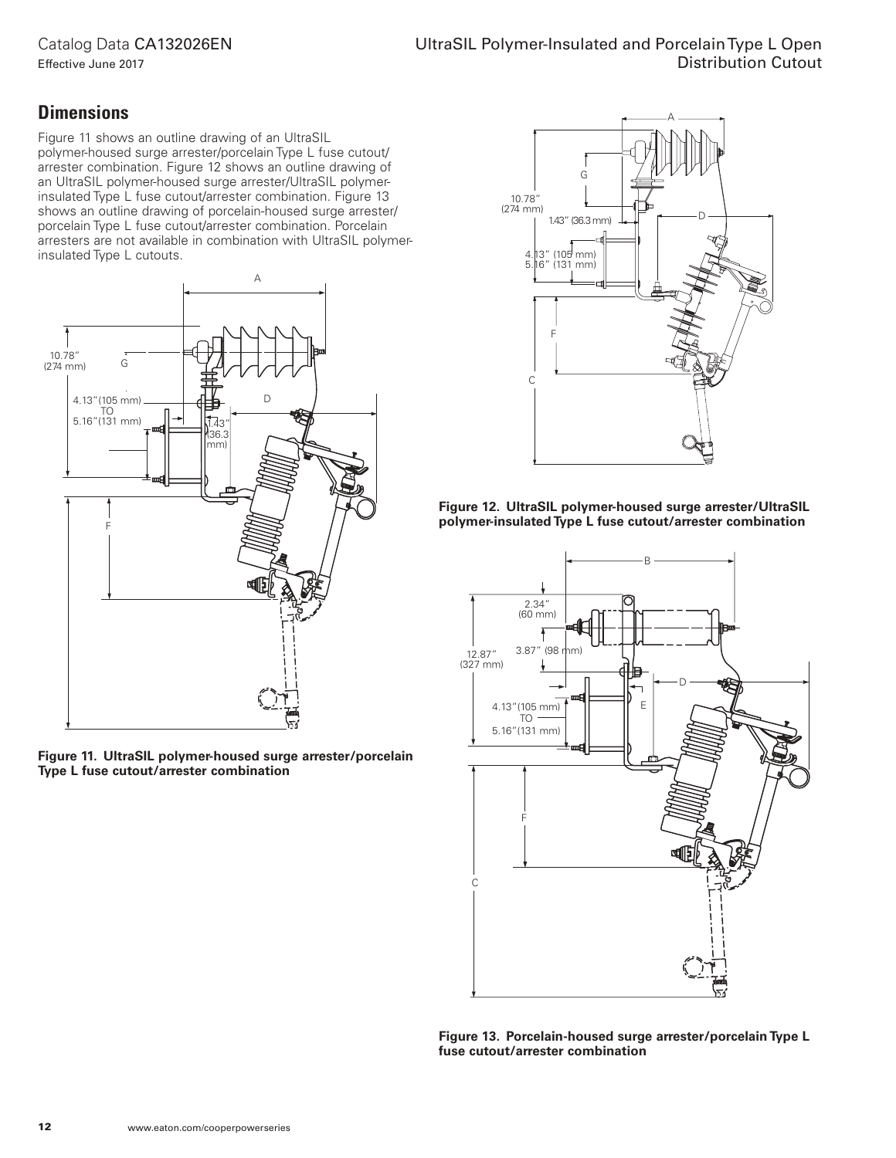## Catalog Data CA132026EN

Effective June 2017

## **Dimensions**

Figure 11 shows an outline drawing of an UltraSIL polymer-housed surge arrester/porcelain Type L fuse cutout/ arrester combination. Figure 12 shows an outline drawing of an UltraSIL polymer-housed surge arrester/UltraSIL polymerinsulated Type L fuse cutout/arrester combination. Figure 13 shows an outline drawing of porcelain-housed surge arrester/ porcelain Type L fuse cutout/arrester combination. Porcelain arresters are not available in combination with UltraSIL polymerinsulated Type L cutouts.



**Figure 11. UltraSIL polymer-housed surge arrester/porcelain Type L fuse cutout/arrester combination**







**Figure 13. Porcelain-housed surge arrester/porcelain Type L fuse cutout/arrester combination**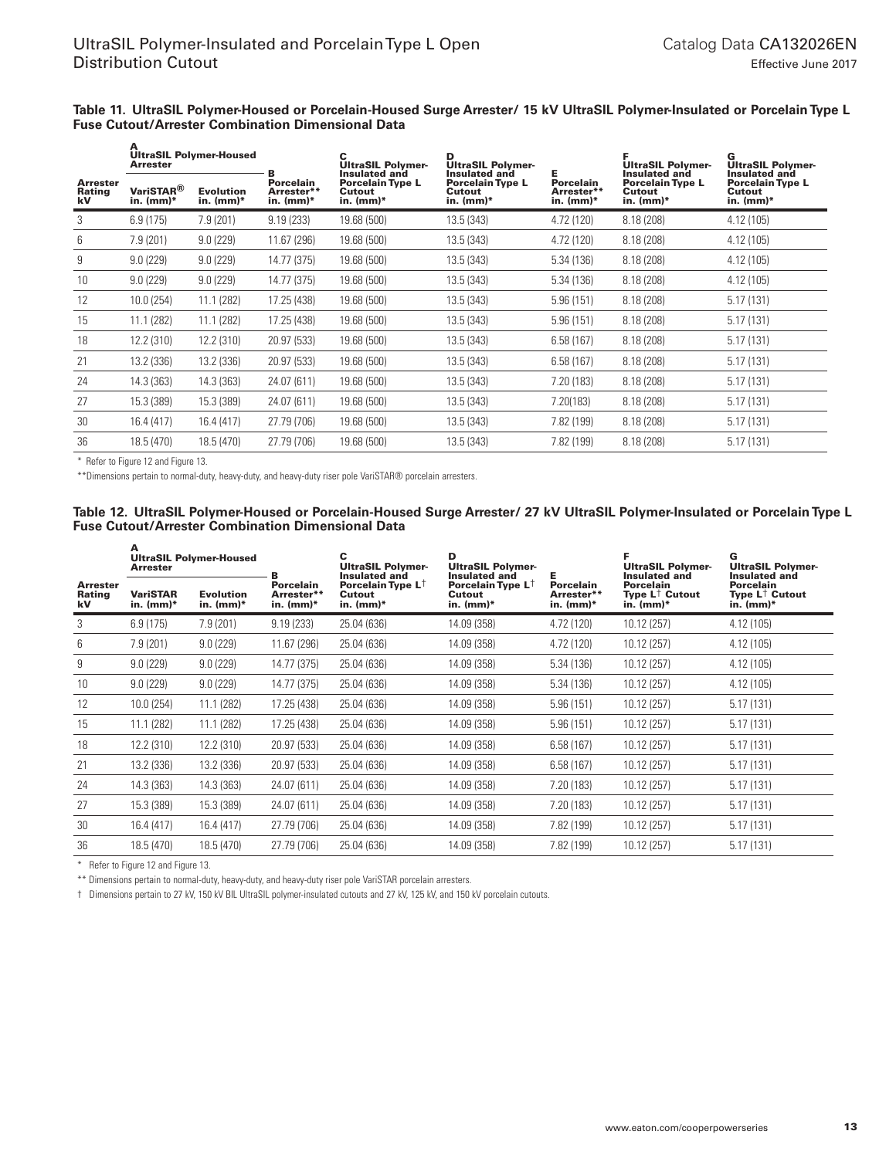#### **Table 11. UltraSIL Polymer-Housed or Porcelain-Housed Surge Arrester/ 15 kV UltraSIL Polymer-Insulated or Porcelain Type L Fuse Cutout/Arrester Combination Dimensional Data**

|                                        | A<br><b>UltraSIL Polymer-Housed</b><br><b>Arrester</b> |                               | в                                    | <b>UltraSIL Polymer-</b><br><b>Insulated and</b> | D<br><b>UltraSIL Polymer-</b><br>Insulated and    |                                               | <b>UltraSIL Polymer-</b><br><b>Insulated and</b> | G<br><b>UltraSIL Polymer-</b><br>Insulated and   |  |
|----------------------------------------|--------------------------------------------------------|-------------------------------|--------------------------------------|--------------------------------------------------|---------------------------------------------------|-----------------------------------------------|--------------------------------------------------|--------------------------------------------------|--|
| <b>Arrester</b><br><b>Rating</b><br>kV | VariSTAR <sup>®</sup><br>in. $(mm)*$                   | <b>Evolution</b><br>in. (mm)* | Porcelain<br>Arrester**<br>in. (mm)* | <b>Porcelain Type L</b><br>Cutout<br>in. (mm)*   | <b>Porcelain Type L</b><br>Cutout<br>in. $(mm)^*$ | <b>Porcelain</b><br>Arrester**<br>in. $(mm)*$ | <b>Porcelain Type L</b><br>Cutout<br>in. $(mm)*$ | <b>Porcelain Type L</b><br>Cutout<br>in. $(mm)*$ |  |
| 3                                      | 6.9(175)                                               | 7.9(201)                      | 9.19(233)                            | 19.68 (500)                                      | 13.5 (343)                                        | 4.72 (120)                                    | 8.18 (208)                                       | 4.12 (105)                                       |  |
| 6                                      | 7.9(201)                                               | 9.0(229)                      | 11.67 (296)                          | 19.68 (500)                                      | 13.5 (343)                                        | 4.72 (120)                                    | 8.18 (208)                                       | 4.12 (105)                                       |  |
| 9                                      | 9.0(229)                                               | 9.0(229)                      | 14.77 (375)                          | 19.68 (500)                                      | 13.5 (343)                                        | 5.34 (136)                                    | 8.18 (208)                                       | 4.12 (105)                                       |  |
| 10                                     | 9.0(229)                                               | 9.0(229)                      | 14.77 (375)                          | 19.68 (500)                                      | 13.5 (343)                                        | 5.34 (136)                                    | 8.18 (208)                                       | 4.12 (105)                                       |  |
| 12                                     | 10.0 (254)                                             | 11.1(282)                     | 17.25 (438)                          | 19.68 (500)                                      | 13.5 (343)                                        | 5.96(151)                                     | 8.18 (208)                                       | 5.17(131)                                        |  |
| 15                                     | 11.1 (282)                                             | 11.1 (282)                    | 17.25 (438)                          | 19.68 (500)                                      | 13.5 (343)                                        | 5.96(151)                                     | 8.18 (208)                                       | 5.17(131)                                        |  |
| 18                                     | 12.2 (310)                                             | 12.2 (310)                    | 20.97 (533)                          | 19.68 (500)                                      | 13.5 (343)                                        | 6.58(167)                                     | 8.18 (208)                                       | 5.17(131)                                        |  |
| 21                                     | 13.2 (336)                                             | 13.2 (336)                    | 20.97 (533)                          | 19.68 (500)                                      | 13.5 (343)                                        | 6.58(167)                                     | 8.18(208)                                        | 5.17(131)                                        |  |
| 24                                     | 14.3 (363)                                             | 14.3 (363)                    | 24.07 (611)                          | 19.68 (500)                                      | 13.5 (343)                                        | 7.20 (183)                                    | 8.18 (208)                                       | 5.17(131)                                        |  |
| 27                                     | 15.3 (389)                                             | 15.3 (389)                    | 24.07 (611)                          | 19.68 (500)                                      | 13.5 (343)                                        | 7.20(183)                                     | 8.18 (208)                                       | 5.17(131)                                        |  |
| 30                                     | 16.4 (417)                                             | 16.4 (417)                    | 27.79 (706)                          | 19.68 (500)                                      | 13.5 (343)                                        | 7.82 (199)                                    | 8.18 (208)                                       | 5.17(131)                                        |  |
| 36                                     | 18.5 (470)                                             | 18.5 (470)                    | 27.79 (706)                          | 19.68 (500)                                      | 13.5(343)                                         | 7.82 (199)                                    | 8.18(208)                                        | 5.17(131)                                        |  |

\* Refer to Figure 12 and Figure 13.

A

\*\*Dimensions pertain to normal-duty, heavy-duty, and heavy-duty riser pole VariSTAR® porcelain arresters.

#### **Table 12. UltraSIL Polymer-Housed or Porcelain-Housed Surge Arrester/ 27 kV UltraSIL Polymer-Insulated or Porcelain Type L Fuse Cutout/Arrester Combination Dimensional Data**

|                                 | A<br><b>UltraSIL Polymer-Housed</b><br><b>Arrester</b> |                                 | B                                              | с<br><b>UltraSIL Polymer-</b><br>Insulated and         | D<br><b>UltraSIL Polymer-</b><br><b>Insulated and</b> | Е                                              | <b>UltraSIL Polymer-</b><br><b>Insulated and</b>       | G<br><b>UltraSIL Polymer-</b><br><b>Insulated and</b>                  |
|---------------------------------|--------------------------------------------------------|---------------------------------|------------------------------------------------|--------------------------------------------------------|-------------------------------------------------------|------------------------------------------------|--------------------------------------------------------|------------------------------------------------------------------------|
| <b>Arrester</b><br>Rating<br>kV | <b>VariSTAR</b><br>in. $(mm)*$                         | <b>Evolution</b><br>in. $(mm)*$ | <b>Porcelain</b><br>Arrester**<br>in. $(mm)^*$ | Porcelain Type L <sup>†</sup><br>Cutout<br>in. $(mm)*$ | Porcelain Type $L^{\dagger}$<br>Cutout<br>in. $(mm)*$ | <b>Porcelain</b><br>Arrester**<br>in. $(mm)^*$ | Porcelain<br>Type $L^{\uparrow}$ Cutout<br>in. $(mm)*$ | <b>Porcelain</b><br>Type $\mathsf{L}^\dagger$ Cutout<br>$in.$ (mm) $*$ |
| 3                               | 6.9(175)                                               | 7.9(201)                        | 9.19(233)                                      | 25.04 (636)                                            | 14.09 (358)                                           | 4.72 (120)                                     | 10.12 (257)                                            | 4.12 (105)                                                             |
| 6                               | 7.9(201)                                               | 9.0(229)                        | 11.67 (296)                                    | 25.04 (636)                                            | 14.09 (358)                                           | 4.72 (120)                                     | 10.12 (257)                                            | 4.12 (105)                                                             |
| 9                               | 9.0(229)                                               | 9.0(229)                        | 14.77 (375)                                    | 25.04 (636)                                            | 14.09 (358)                                           | 5.34(136)                                      | 10.12 (257)                                            | 4.12 (105)                                                             |
| 10                              | 9.0(229)                                               | 9.0(229)                        | 14.77 (375)                                    | 25.04 (636)                                            | 14.09 (358)                                           | 5.34(136)                                      | 10.12 (257)                                            | 4.12 (105)                                                             |
| 12                              | 10.0 (254)                                             | 11.1(282)                       | 17.25 (438)                                    | 25.04 (636)                                            | 14.09 (358)                                           | 5.96(151)                                      | 10.12 (257)                                            | 5.17(131)                                                              |
| 15                              | 11.1 (282)                                             | 11.1(282)                       | 17.25 (438)                                    | 25.04 (636)                                            | 14.09 (358)                                           | 5.96(151)                                      | 10.12 (257)                                            | 5.17(131)                                                              |
| 18                              | 12.2 (310)                                             | 12.2 (310)                      | 20.97 (533)                                    | 25.04 (636)                                            | 14.09 (358)                                           | 6.58(167)                                      | 10.12 (257)                                            | 5.17(131)                                                              |
| 21                              | 13.2 (336)                                             | 13.2 (336)                      | 20.97 (533)                                    | 25.04 (636)                                            | 14.09 (358)                                           | 6.58(167)                                      | 10.12 (257)                                            | 5.17(131)                                                              |
| 24                              | 14.3 (363)                                             | 14.3 (363)                      | 24.07 (611)                                    | 25.04 (636)                                            | 14.09 (358)                                           | 7.20 (183)                                     | 10.12 (257)                                            | 5.17(131)                                                              |
| 27                              | 15.3 (389)                                             | 15.3 (389)                      | 24.07 (611)                                    | 25.04 (636)                                            | 14.09 (358)                                           | 7.20 (183)                                     | 10.12 (257)                                            | 5.17(131)                                                              |
| 30                              | 16.4 (417)                                             | 16.4 (417)                      | 27.79 (706)                                    | 25.04 (636)                                            | 14.09 (358)                                           | 7.82 (199)                                     | 10.12 (257)                                            | 5.17(131)                                                              |
| 36                              | 18.5 (470)                                             | 18.5 (470)                      | 27.79 (706)                                    | 25.04 (636)                                            | 14.09 (358)                                           | 7.82 (199)                                     | 10.12 (257)                                            | 5.17(131)                                                              |

\* Refer to Figure 12 and Figure 13.

\*\* Dimensions pertain to normal-duty, heavy-duty, and heavy-duty riser pole VariSTAR porcelain arresters.

† Dimensions pertain to 27 kV, 150 kV BIL UltraSIL polymer-insulated cutouts and 27 kV, 125 kV, and 150 kV porcelain cutouts.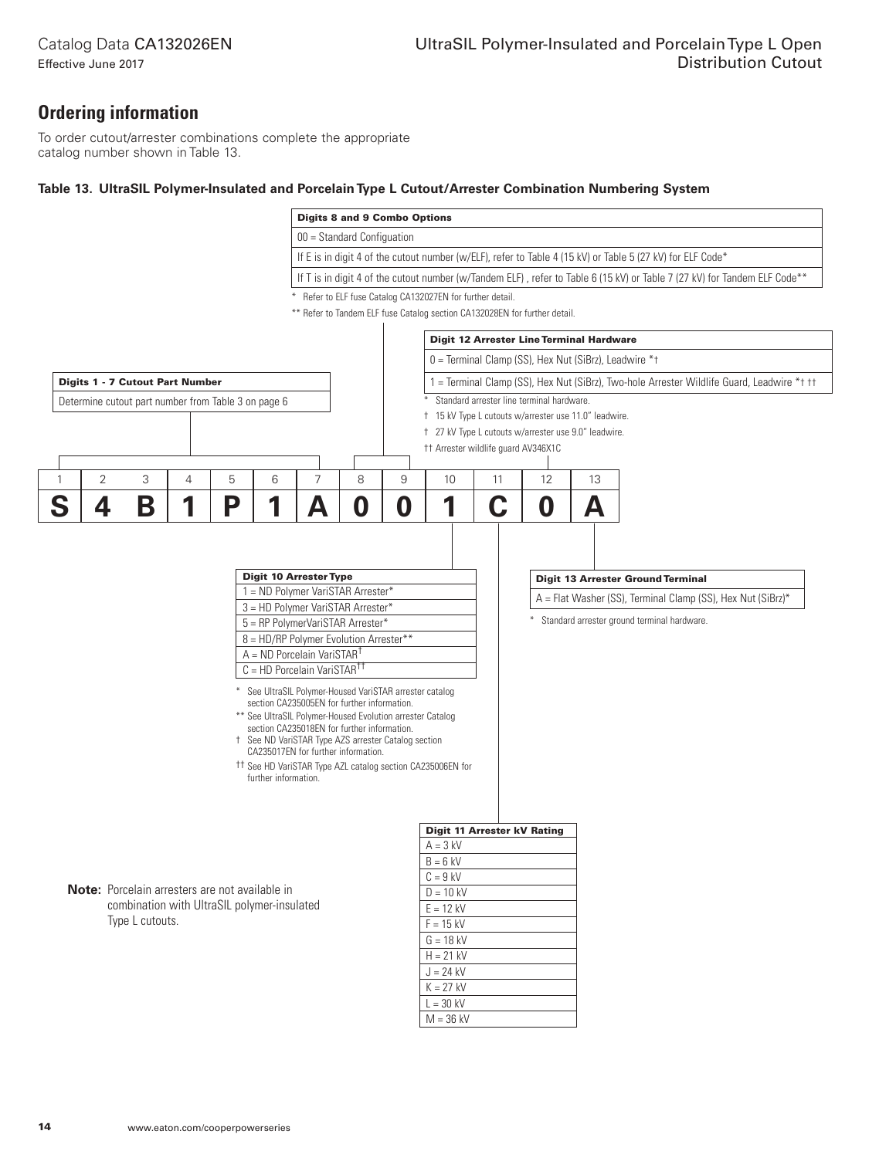## **Ordering information**

Effective June 2017

To order cutout/arrester combinations complete the appropriate catalog number shown in Table 13.

## **Table 13. UltraSIL Polymer-Insulated and Porcelain Type L Cutout/Arrester Combination Numbering System**